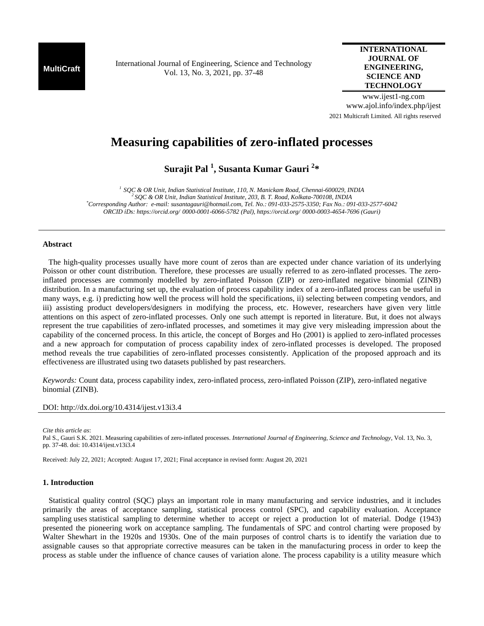**MultiCraft** International Journal of Engineering, Science and Technology Vol. 13, No. 3, 2021, pp. 37-48

# **INTERNATIONAL JOURNAL OF ENGINEERING, SCIENCE AND TECHNOLOGY**

www.ijest1-ng.com www.ajol.info/index.php/ijest 2021 Multicraft Limited. All rights reserved

# **Measuring capabilities of zero-inflated processes**

**Surajit Pal <sup>1</sup> , Susanta Kumar Gauri <sup>2</sup> \*** 

*1 SQC & OR Unit, Indian Statistical Institute, 110, N. Manickam Road, Chennai-600029, INDIA <sup>2</sup>SQC & OR Unit, Indian Statistical Institute, 203, B. T. Road, Kolkata-700108, INDIA \*Corresponding Author: e-mail: susantagauri@hotmail.com, Tel. No.: 091-033-2575-3350; Fax No.: 091-033-2577-6042 ORCID iDs: https://orcid.org/ 0000-0001-6066-5782 (Pal), https://orcid.org/ 0000-0003-4654-7696 (Gauri)*

## **Abstract**

 The high-quality processes usually have more count of zeros than are expected under chance variation of its underlying Poisson or other count distribution. Therefore, these processes are usually referred to as zero-inflated processes. The zeroinflated processes are commonly modelled by zero-inflated Poisson (ZIP) or zero-inflated negative binomial (ZINB) distribution. In a manufacturing set up, the evaluation of process capability index of a zero-inflated process can be useful in many ways, e.g. i) predicting how well the process will hold the specifications, ii) selecting between competing vendors, and iii) assisting product developers/designers in modifying the process, etc. However, researchers have given very little attentions on this aspect of zero-inflated processes. Only one such attempt is reported in literature. But, it does not always represent the true capabilities of zero-inflated processes, and sometimes it may give very misleading impression about the capability of the concerned process. In this article, the concept of Borges and Ho (2001) is applied to zero-inflated processes and a new approach for computation of process capability index of zero-inflated processes is developed. The proposed method reveals the true capabilities of zero-inflated processes consistently. Application of the proposed approach and its effectiveness are illustrated using two datasets published by past researchers.

*Keywords:* Count data, process capability index, zero-inflated process, zero-inflated Poisson (ZIP), zero-inflated negative binomial (ZINB).

DOI: http://dx.doi.org/10.4314/ijest.v13i3.4

*Cite this article as*:

Pal S., Gauri S.K. 2021. Measuring capabilities of zero-inflated processes. *International Journal of Engineering, Science and Technology*, Vol. 13, No. 3, pp. 37-48. doi: 10.4314/ijest.v13i3.4

Received: July 22, 2021; Accepted: August 17, 2021; Final acceptance in revised form: August 20, 2021

#### **1. Introduction**

 Statistical quality control (SQC) plays an important role in many manufacturing and service industries, and it includes primarily the areas of acceptance sampling, statistical process control (SPC), and capability evaluation. Acceptance sampling uses statistical sampling to determine whether to accept or reject a production lot of material. Dodge (1943) presented the pioneering work on acceptance sampling. The fundamentals of SPC and control charting were proposed by Walter Shewhart in the 1920s and 1930s. One of the main purposes of control charts is to identify the variation due to assignable causes so that appropriate corrective measures can be taken in the manufacturing process in order to keep the process as stable under the influence of chance causes of variation alone. The process capability is a utility measure which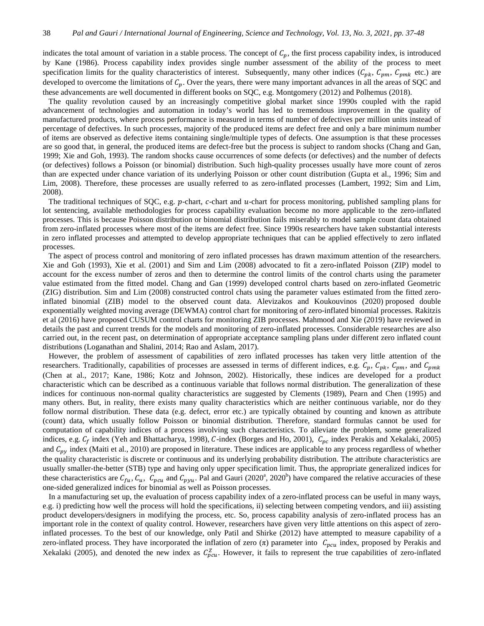indicates the total amount of variation in a stable process. The concept of  $C_p$ , the first process capability index, is introduced by Kane (1986). Process capability index provides single number assessment of the ability of the process to meet specification limits for the quality characteristics of interest. Subsequently, many other indices  $(C_{pk}, C_{pm}, C_{pmk}$  etc.) are developed to overcome the limitations of  $C_p$ . Over the years, there were many important advances in all the areas of SQC and these advancements are well documented in different books on SQC, e.g. Montgomery (2012) and Polhemus (2018).

 The quality revolution caused by an increasingly competitive global market since 1990s coupled with the rapid advancement of technologies and automation in today's world has led to tremendous improvement in the quality of manufactured products, where process performance is measured in terms of number of defectives per million units instead of percentage of defectives. In such processes, majority of the produced items are defect free and only a bare minimum number of items are observed as defective items containing single/multiple types of defects. One assumption is that these processes are so good that, in general, the produced items are defect-free but the process is subject to random shocks (Chang and Gan, 1999; Xie and Goh, 1993). The random shocks cause occurrences of some defects (or defectives) and the number of defects (or defectives) follows a Poisson (or binomial) distribution. Such high-quality processes usually have more count of zeros than are expected under chance variation of its underlying Poisson or other count distribution (Gupta et al., 1996; Sim and Lim, 2008). Therefore, these processes are usually referred to as zero-inflated processes (Lambert, 1992; Sim and Lim, 2008).

The traditional techniques of SQC, e.g.  $p$ -chart, c-chart and  $u$ -chart for process monitoring, published sampling plans for lot sentencing, available methodologies for process capability evaluation become no more applicable to the zero-inflated processes. This is because Poisson distribution or binomial distribution fails miserably to model sample count data obtained from zero-inflated processes where most of the items are defect free. Since 1990s researchers have taken substantial interests in zero inflated processes and attempted to develop appropriate techniques that can be applied effectively to zero inflated processes.

 The aspect of process control and monitoring of zero inflated processes has drawn maximum attention of the researchers. Xie and Goh (1993), Xie et al. (2001) and Sim and Lim (2008) advocated to fit a zero-inflated Poisson (ZIP) model to account for the excess number of zeros and then to determine the control limits of the control charts using the parameter value estimated from the fitted model. Chang and Gan (1999) developed control charts based on zero-inflated Geometric (ZIG) distribution. Sim and Lim (2008) constructed control chats using the parameter values estimated from the fitted zeroinflated binomial (ZIB) model to the observed count data. Alevizakos and Koukouvinos (2020) proposed double exponentially weighted moving average (DEWMA) control chart for monitoring of zero-inflated binomial processes. Rakitzis et al (2016) have proposed CUSUM control charts for monitoring ZIB processes. Mahmood and Xie (2019) have reviewed in details the past and current trends for the models and monitoring of zero-inflated processes. Considerable researches are also carried out, in the recent past, on determination of appropriate acceptance sampling plans under different zero inflated count distributions (Loganathan and Shalini, 2014; Rao and Aslam, 2017).

 However, the problem of assessment of capabilities of zero inflated processes has taken very little attention of the researchers. Traditionally, capabilities of processes are assessed in terms of different indices, e.g.  $C_p$ ,  $C_{pk}$ ,  $C_{pm}$ , and  $C_{pmk}$ (Chen at al., 2017; Kane, 1986; Kotz and Johnson, 2002). Historically, these indices are developed for a product characteristic which can be described as a continuous variable that follows normal distribution. The generalization of these indices for continuous non-normal quality characteristics are suggested by Clements (1989), Pearn and Chen (1995) and many others. But, in reality, there exists many quality characteristics which are neither continuous variable, nor do they follow normal distribution. These data (e.g. defect, error etc.) are typically obtained by counting and known as attribute (count) data, which usually follow Poisson or binomial distribution. Therefore, standard formulas cannot be used for computation of capability indices of a process involving such characteristics. To alleviate the problem, some generalized indices, e.g.  $C_f$  index (Yeh and Bhattacharya, 1998), C-index (Borges and Ho, 2001),  $C_{pc}$  index Perakis and Xekalaki, 2005) and  $C_{py}$  index (Maiti et al., 2010) are proposed in literature. These indices are applicable to any process regardless of whether the quality characteristic is discrete or continuous and its underlying probability distribution. The attribute characteristics are usually smaller-the-better (STB) type and having only upper specification limit. Thus, the appropriate generalized indices for these characteristics are  $C_{fu}$ ,  $C_{u}$ ,  $C_{pcu}$  and  $C_{pyu}$ . Pal and Gauri (2020<sup>a</sup>, 2020<sup>b</sup>) have compared the relative accuracies of these one-sided generalized indices for binomial as well as Poisson processes.

 In a manufacturing set up, the evaluation of process capability index of a zero-inflated process can be useful in many ways, e.g. i) predicting how well the process will hold the specifications, ii) selecting between competing vendors, and iii) assisting product developers/designers in modifying the process, etc. So, process capability analysis of zero-inflated process has an important role in the context of quality control. However, researchers have given very little attentions on this aspect of zeroinflated processes. To the best of our knowledge, only Patil and Shirke (2012) have attempted to measure capability of a zero-inflated process. They have incorporated the inflation of zero  $(\pi)$  parameter into  $C_{pcu}$  index, proposed by Perakis and Xekalaki (2005), and denoted the new index as  $C_{pcu}^2$ . However, it fails to represent the true capabilities of zero-inflated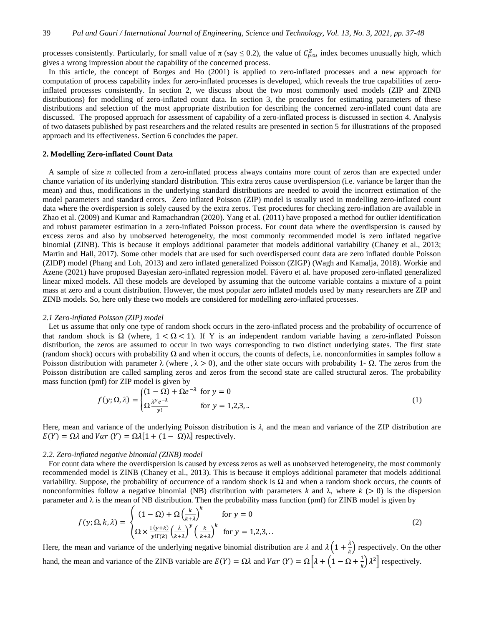processes consistently. Particularly, for small value of  $\pi$  (say  $\leq$  0.2), the value of  $C_{pcu}^Z$  index becomes unusually high, which gives a wrong impression about the capability of the concerned process.

 In this article, the concept of Borges and Ho (2001) is applied to zero-inflated processes and a new approach for computation of process capability index for zero-inflated processes is developed, which reveals the true capabilities of zeroinflated processes consistently. In section 2, we discuss about the two most commonly used models (ZIP and ZINB distributions) for modelling of zero-inflated count data. In section 3, the procedures for estimating parameters of these distributions and selection of the most appropriate distribution for describing the concerned zero-inflated count data are discussed. The proposed approach for assessment of capability of a zero-inflated process is discussed in section 4. Analysis of two datasets published by past researchers and the related results are presented in section 5 for illustrations of the proposed approach and its effectiveness. Section 6 concludes the paper.

## **2. Modelling Zero-inflated Count Data**

A sample of size  $n$  collected from a zero-inflated process always contains more count of zeros than are expected under chance variation of its underlying standard distribution. This extra zeros cause overdispersion (i.e. variance be larger than the mean) and thus, modifications in the underlying standard distributions are needed to avoid the incorrect estimation of the model parameters and standard errors. Zero inflated Poisson (ZIP) model is usually used in modelling zero-inflated count data where the overdispersion is solely caused by the extra zeros. Test procedures for checking zero-inflation are available in Zhao et al. (2009) and Kumar and Ramachandran (2020). Yang et al. (2011) have proposed a method for outlier identification and robust parameter estimation in a zero-inflated Poisson process. For count data where the overdispersion is caused by excess zeros and also by unobserved heterogeneity, the most commonly recommended model is zero inflated negative binomial (ZINB). This is because it employs additional parameter that models additional variability (Chaney et al., 2013; Martin and Hall, 2017). Some other models that are used for such overdispersed count data are zero inflated double Poisson (ZIDP) model (Phang and Loh, 2013) and zero inflated generalized Poisson (ZIGP) (Wagh and Kamalja, 2018). Workie and Azene (2021) have proposed Bayesian zero-inflated regression model. Fávero et al. have proposed zero-inflated generalized linear mixed models. All these models are developed by assuming that the outcome variable contains a mixture of a point mass at zero and a count distribution. However, the most popular zero inflated models used by many researchers are ZIP and ZINB models. So, here only these two models are considered for modelling zero-inflated processes.

#### *2.1 Zero-inflated Poisson (ZIP) model*

 Let us assume that only one type of random shock occurs in the zero-inflated process and the probability of occurrence of that random shock is Ω (where,  $1 < Ω < 1$ ). If Y is an independent random variable having a zero-inflated Poisson distribution, the zeros are assumed to occur in two ways corresponding to two distinct underlying states. The first state (random shock) occurs with probability  $\Omega$  and when it occurs, the counts of defects, i.e. nonconformities in samples follow a Poisson distribution with parameter  $\lambda$  (where ,  $\lambda > 0$ ), and the other state occurs with probability 1- Ω. The zeros from the Poisson distribution are called sampling zeros and zeros from the second state are called structural zeros. The probability mass function (pmf) for ZIP model is given by

$$
f(y; \Omega, \lambda) = \begin{cases} (1 - \Omega) + \Omega e^{-\lambda} & \text{for } y = 0\\ \Omega \frac{\lambda^y e^{-\lambda}}{y!} & \text{for } y = 1, 2, 3, ... \end{cases}
$$
 (1)

Here, mean and variance of the underlying Poisson distribution is *λ,* and the mean and variance of the ZIP distribution are  $E(Y) = \Omega \lambda$  and  $Var(Y) = \Omega \lambda [1 + (1 - \Omega) \lambda]$  respectively.

#### *2.2. Zero-inflated negative binomial (ZINB) model*

 For count data where the overdispersion is caused by excess zeros as well as unobserved heterogeneity, the most commonly recommended model is ZINB (Chaney et al., 2013). This is because it employs additional parameter that models additional variability. Suppose, the probability of occurrence of a random shock is  $\Omega$  and when a random shock occurs, the counts of nonconformities follow a negative binomial (NB) distribution with parameters *k* and λ, where *k* (> 0) is the dispersion parameter and  $\lambda$  is the mean of NB distribution. Then the probability mass function (pmf) for ZINB model is given by

$$
f(y; \Omega, k, \lambda) = \begin{cases} (1 - \Omega) + \Omega \left(\frac{k}{k + \lambda}\right)^k & \text{for } y = 0\\ \Omega \times \frac{\Gamma(y + k)}{y! \Gamma(k)} \left(\frac{\lambda}{k + \lambda}\right)^y \left(\frac{k}{k + \lambda}\right)^k & \text{for } y = 1, 2, 3, ... \end{cases}
$$
(2)

Here, the mean and variance of the underlying negative binomial distribution are  $\lambda$  and  $\lambda \left(1 + \frac{\lambda}{k}\right)$  respectively. On the other hand, the mean and variance of the ZINB variable are  $E(Y) = \Omega \lambda$  and  $Var(Y) = \Omega \lambda + (1 - \Omega + \frac{1}{k})$  $\frac{1}{k}$  $\lambda^2$  respectively.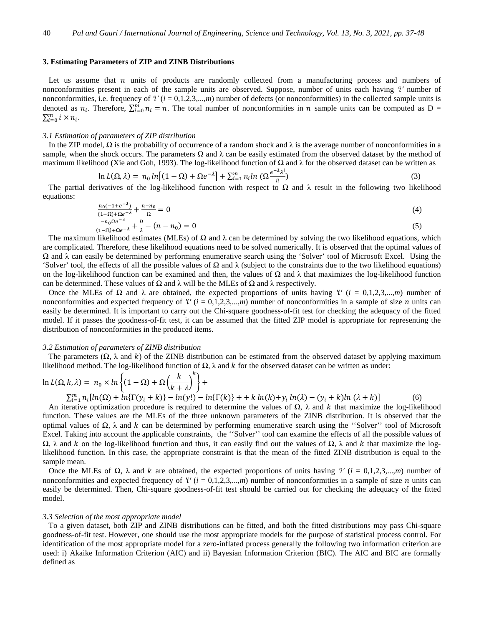#### **3. Estimating Parameters of ZIP and ZINB Distributions**

Let us assume that  $n$  units of products are randomly collected from a manufacturing process and numbers of nonconformities present in each of the sample units are observed. Suppose, number of units each having *'i'* number of nonconformities, i.e. frequency of *'i'*  $(i = 0,1,2,3,...,m)$  number of defects (or nonconformities) in the collected sample units is denoted as  $n_i$ . Therefore,  $\sum_{i=0}^{m} n_i = n$ . The total number of nonconformities in *n* sample units can be computed as D =  $\sum_{i=0}^m i \times n_i$ .

#### *3.1 Estimation of parameters of ZIP distribution*

In the ZIP model,  $\Omega$  is the probability of occurrence of a random shock and  $\lambda$  is the average number of nonconformities in a sample, when the shock occurs. The parameters  $\Omega$  and  $\lambda$  can be easily estimated from the observed dataset by the method of maximum likelihood (Xie and Goh, 1993). The log-likelihood function of  $Ω$  and  $λ$  for the observed dataset can be written as

$$
\ln L(\Omega, \lambda) = n_0 \ln \left[ (1 - \Omega) + \Omega e^{-\lambda} \right] + \sum_{i=1}^{m} n_i \ln \left( \Omega \frac{e^{-\lambda} \lambda^i}{i!} \right) \tag{3}
$$

The partial derivatives of the log-likelihood function with respect to  $\Omega$  and  $\lambda$  result in the following two likelihood equations:

$$
\frac{n_0(-1+e^{-\lambda})}{(1-\Omega)+\Omega e^{-\lambda}} + \frac{n-n_0}{\Omega} = 0
$$
\n
$$
(4)
$$
\n
$$
\frac{-n_0\Omega e^{-\lambda}}{1-\Omega} + \frac{p}{\Omega} - (n-n_0) = 0
$$
\n
$$
(5)
$$

$$
\frac{-n_0x}{(1-\Omega)+\Omega e^{-\lambda}} + \frac{\nu}{\lambda} - (n-n_0) = 0
$$
\n(5)

\n(1-0.1) Let  $\Omega$  be the following equation, the two likelihood equations, we will

The maximum likelihood estimates (MLEs) of  $\Omega$  and  $\lambda$  can be determined by solving the two likelihood equations, which are complicated. Therefore, these likelihood equations need to be solved numerically. It is observed that the optimal values of  $\Omega$  and  $\lambda$  can easily be determined by performing enumerative search using the 'Solver' tool of Microsoft Excel. Using the 'Solver' tool, the effects of all the possible values of  $\Omega$  and  $\lambda$  (subject to the constraints due to the two likelihood equations) on the log-likelihood function can be examined and then, the values of  $\Omega$  and  $\lambda$  that maximizes the log-likelihood function can be determined. These values of  $\Omega$  and  $\lambda$  will be the MLEs of  $\Omega$  and  $\lambda$  respectively.

Once the MLEs of Ω and λ are obtained, the expected proportions of units having *'i'* (*i* = 0,1,2,3,...,*m*) number of nonconformities and expected frequency of *'i'*  $(i = 0,1,2,3,...,m)$  number of nonconformities in a sample of size *n* units can easily be determined. It is important to carry out the Chi-square goodness-of-fit test for checking the adequacy of the fitted model. If it passes the goodness-of-fit test, it can be assumed that the fitted ZIP model is appropriate for representing the distribution of nonconformities in the produced items.

#### *3.2 Estimation of parameters of ZINB distribution*

The parameters  $(\Omega, \lambda \text{ and } k)$  of the ZINB distribution can be estimated from the observed dataset by applying maximum likelihood method. The log-likelihood function of  $\Omega$ , λ and k for the observed dataset can be written as under:

$$
\ln L(\Omega, k, \lambda) = n_0 \times \ln \left\{ (1 - \Omega) + \Omega \left( \frac{k}{k + \lambda} \right)^k \right\} +
$$
  

$$
\sum_{i=1}^m n_i [\ln(\Omega) + \ln{\Gamma(y_i + k)} - \ln(y!) - \ln{\Gamma(k)}] + k \ln(k) + y_i \ln(\lambda) - (y_i + k)\ln(\lambda + k)]
$$
 (6)

An iterative optimization procedure is required to determine the values of  $\Omega$ ,  $\lambda$  and  $k$  that maximize the log-likelihood function. These values are the MLEs of the three unknown parameters of the ZINB distribution. It is observed that the optimal values of Ω,  $\lambda$  and k can be determined by performing enumerative search using the "Solver" tool of Microsoft Excel. Taking into account the applicable constraints, the ''Solver'' tool can examine the effects of all the possible values of  $\Omega$ , λ and k on the log-likelihood function and thus, it can easily find out the values of  $\Omega$ , λ and k that maximize the loglikelihood function. In this case, the appropriate constraint is that the mean of the fitted ZINB distribution is equal to the sample mean.

Once the MLEs of Ω, λ and k are obtained, the expected proportions of units having *'i'* ( $i = 0,1,2,3,...,m$ ) number of nonconformities and expected frequency of *'i'*  $(i = 0,1,2,3,...,m)$  number of nonconformities in a sample of size *n* units can easily be determined. Then, Chi-square goodness-of-fit test should be carried out for checking the adequacy of the fitted model.

#### *3.3 Selection of the most appropriate model*

 To a given dataset, both ZIP and ZINB distributions can be fitted, and both the fitted distributions may pass Chi-square goodness-of-fit test. However, one should use the most appropriate models for the purpose of statistical process control. For identification of the most appropriate model for a zero-inflated process generally the following two information criterion are used: i) Akaike Information Criterion (AIC) and ii) Bayesian Information Criterion (BIC). The AIC and BIC are formally defined as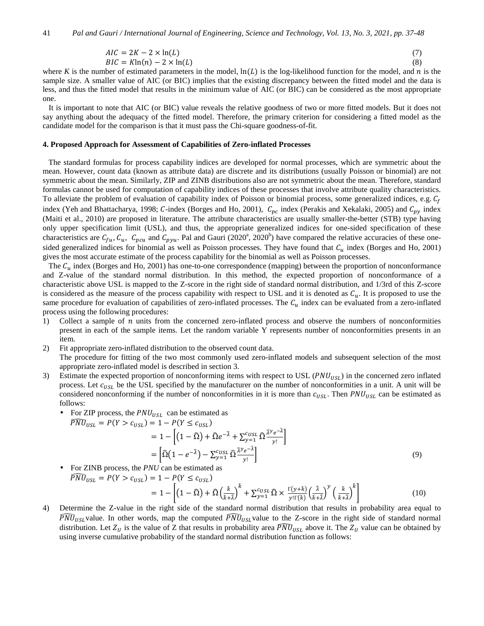$$
AIC = 2K - 2 \times \ln(L) \tag{7}
$$
  

$$
BIC = K \ln(n) - 2 \times \ln(L) \tag{8}
$$

where *K* is the number of estimated parameters in the model,  $\ln(L)$  is the log-likelihood function for the model, and *n* is the sample size. A smaller value of AIC (or BIC) implies that the existing discrepancy between the fitted model and the data is less, and thus the fitted model that results in the minimum value of AIC (or BIC) can be considered as the most appropriate one.

 It is important to note that AIC (or BIC) value reveals the relative goodness of two or more fitted models. But it does not say anything about the adequacy of the fitted model. Therefore, the primary criterion for considering a fitted model as the candidate model for the comparison is that it must pass the Chi-square goodness-of-fit.

#### **4. Proposed Approach for Assessment of Capabilities of Zero-inflated Processes**

 The standard formulas for process capability indices are developed for normal processes, which are symmetric about the mean. However, count data (known as attribute data) are discrete and its distributions (usually Poisson or binomial) are not symmetric about the mean. Similarly, ZIP and ZINB distributions also are not symmetric about the mean. Therefore, standard formulas cannot be used for computation of capability indices of these processes that involve attribute quality characteristics. To alleviate the problem of evaluation of capability index of Poisson or binomial process, some generalized indices, e.g.  $C_f$ index (Yeh and Bhattacharya, 1998; C-index (Borges and Ho, 2001),  $C_{pc}$  index (Perakis and Xekalaki, 2005) and  $C_{py}$  index (Maiti et al., 2010) are proposed in literature. The attribute characteristics are usually smaller-the-better (STB) type having only upper specification limit (USL), and thus, the appropriate generalized indices for one-sided specification of these characteristics are  $C_{fu}$ ,  $C_u$ ,  $C_{pcu}$  and  $C_{pyu}$ . Pal and Gauri (2020<sup>a</sup>, 2020<sup>b</sup>) have compared the relative accuracies of these onesided generalized indices for binomial as well as Poisson processes. They have found that  $C_u$  index (Borges and Ho, 2001) gives the most accurate estimate of the process capability for the binomial as well as Poisson processes.

The  $C_u$  index (Borges and Ho, 2001) has one-to-one correspondence (mapping) between the proportion of nonconformance and Z-value of the standard normal distribution. In this method, the expected proportion of nonconformance of a characteristic above USL is mapped to the Z-score in the right side of standard normal distribution, and 1/3rd of this Z-score is considered as the measure of the process capability with respect to USL and it is denoted as  $C_u$ . It is proposed to use the same procedure for evaluation of capabilities of zero-inflated processes. The  $C_u$  index can be evaluated from a zero-inflated process using the following procedures:

- 1) Collect a sample of *n* units from the concerned zero-inflated process and observe the numbers of nonconformities present in each of the sample items. Let the random variable Y represents number of nonconformities presents in an item.
- 2) Fit appropriate zero-inflated distribution to the observed count data. The procedure for fitting of the two most commonly used zero-inflated models and subsequent selection of the most appropriate zero-inflated model is described in section 3.
- 3) Estimate the expected proportion of nonconforming items with respect to USL ( $PNU_{USL}$ ) in the concerned zero inflated process. Let  $c_{I, SI}$  be the USL specified by the manufacturer on the number of nonconformities in a unit. A unit will be considered nonconforming if the number of nonconformities in it is more than  $c_{USL}$ . Then PNU<sub>USL</sub> can be estimated as follows:
	- For ZIP process, the  $PNU_{USL}$  can be estimated as

$$
\overline{PNU}_{USL} = P(Y > c_{USL}) = 1 - P(Y \le c_{USL})
$$
\n
$$
= 1 - \left[ (1 - \widehat{\Omega}) + \widehat{\Omega}e^{-\widehat{\lambda}} + \sum_{y=1}^{c_{USL}} \widehat{\Omega} \frac{\widehat{\lambda}^y e^{-\widehat{\lambda}}}{y!} \right]
$$
\n
$$
= \left[ \widehat{\Omega} (1 - e^{-\widehat{\lambda}}) - \sum_{y=1}^{c_{USL}} \widehat{\Omega} \frac{\widehat{\lambda}^y e^{-\widehat{\lambda}}}{y!} \right]
$$
\n(9)

• For ZINB process, the *PNU* can be estimated as  $\widehat{PNU}_{USL} = P(Y > c_{USL}) = 1 - P(Y \leq c_{USL})$ 

$$
=1-\left[\left(1-\widehat{\Omega}\right)+\widehat{\Omega}\left(\frac{\widehat{k}}{\widehat{k}+\widehat{\lambda}}\right)^{\widehat{k}}+\sum_{y=1}^{c_{USL}}\widehat{\Omega}\times\frac{\Gamma(y+\widehat{k})}{y!\Gamma(\widehat{k})}\left(\frac{\widehat{\lambda}}{\widehat{k}+\widehat{\lambda}}\right)^{y}\left(\frac{\widehat{k}}{\widehat{k}+\widehat{\lambda}}\right)^{\widehat{k}}\right]
$$
(10)

4) Determine the Z-value in the right side of the standard normal distribution that results in probability area equal to  $\overline{PNU}_{USL}$ value. In other words, map the computed  $\overline{PNU}_{USL}$ value to the Z-score in the right side of standard normal distribution. Let  $Z_U$  is the value of Z that results in probability area  $\overline{PNU}_{USL}$  above it. The  $Z_U$  value can be obtained by using inverse cumulative probability of the standard normal distribution function as follows: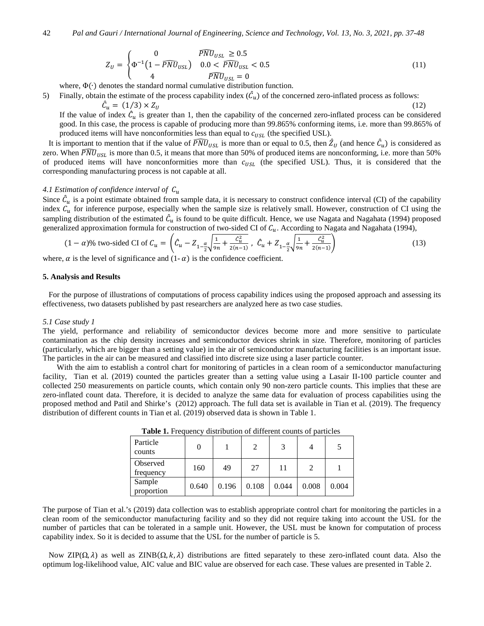$$
Z_{U} = \begin{cases} 0 & P\overline{NU}_{USL} \ge 0.5\\ \Phi^{-1}(1 - \overline{PNU}_{USL}) & 0.0 < \overline{PNU}_{USL} < 0.5\\ 4 & \overline{PNU}_{USL} = 0 \end{cases}
$$
(11)

where, Φ(⋅) denotes the standard normal cumulative distribution function.

5) Finally, obtain the estimate of the process capability index  $(\hat{C}_u)$  of the concerned zero-inflated process as follows:

 $\hat{C}$  $\mathbf{r}_u = (1/3) \times \mathbf{Z}_U$  (12) If the value of index  $\mathcal{C}_u$  is greater than 1, then the capability of the concerned zero-inflated process can be considered good. In this case, the process is capable of producing more than 99.865% conforming items, i.e. more than 99.865% of produced items will have nonconformities less than equal to  $c_{USL}$  (the specified USL).

It is important to mention that if the value of  $\overline{PND}_{USL}$  is more than or equal to 0.5, then  $Z_U$  (and hence  $\hat{C}_u$ ) is considered as zero. When  $\widehat{PNU}_{USL}$  is more than 0.5, it means that more than 50% of produced items are nonconforming, i.e. more than 50% of produced items will have nonconformities more than  $c_{USL}$  (the specified USL). Thus, it is considered that the corresponding manufacturing process is not capable at all.

#### *4.1 Estimation of confidence interval of*

Since  $\mathcal{C}_u$  is a point estimate obtained from sample data, it is necessary to construct confidence interval (CI) of the capability index  $C_u$  for inference purpose, especially when the sample size is relatively small. However, construction of CI using the sampling distribution of the estimated  $\hat{C}_u$  is found to be quite difficult. Hence, we use Nagata and Nagahata (1994) proposed generalized approximation formula for construction of two-sided CI of  $C_u$ . According to Nagata and Nagahata (1994),

$$
(1 - \alpha)\% \text{ two-sided CI of } C_u = \left(\hat{C}_u - Z_{1-\frac{\alpha}{2}}\sqrt{\frac{1}{9n} + \frac{C_u^2}{2(n-1)}}, \ \hat{C}_u + Z_{1-\frac{\alpha}{2}}\sqrt{\frac{1}{9n} + \frac{C_u^2}{2(n-1)}}\right) \tag{13}
$$

where,  $\alpha$  is the level of significance and  $(1-\alpha)$  is the confidence coefficient.

# **5. Analysis and Results**

 For the purpose of illustrations of computations of process capability indices using the proposed approach and assessing its effectiveness, two datasets published by past researchers are analyzed here as two case studies.

#### *5.1 Case study 1*

The yield, performance and reliability of semiconductor devices become more and more sensitive to particulate contamination as the chip density increases and semiconductor devices shrink in size. Therefore, monitoring of particles (particularly, which are bigger than a setting value) in the air of semiconductor manufacturing facilities is an important issue. The particles in the air can be measured and classified into discrete size using a laser particle counter.

With the aim to establish a control chart for monitoring of particles in a clean room of a semiconductor manufacturing facility, Tian et al. (2019) counted the particles greater than a setting value using a Lasair II-100 particle counter and collected 250 measurements on particle counts, which contain only 90 non-zero particle counts. This implies that these are zero-inflated count data. Therefore, it is decided to analyze the same data for evaluation of process capabilities using the proposed method and Patil and Shirke's (2012) approach. The full data set is available in Tian et al. (2019). The frequency distribution of different counts in Tian et al. (2019) observed data is shown in Table 1.

| Particle<br>counts    |       |       |       |       |               |       |
|-----------------------|-------|-------|-------|-------|---------------|-------|
| Observed<br>frequency | 160   | 49    | 27    | 11    | $\mathcal{D}$ |       |
| Sample<br>proportion  | 0.640 | 0.196 | 0.108 | 0.044 | 0.008         | 0.004 |

**Table 1.** Frequency distribution of different counts of particles

The purpose of Tian et al.'s (2019) data collection was to establish appropriate control chart for monitoring the particles in a clean room of the semiconductor manufacturing facility and so they did not require taking into account the USL for the number of particles that can be tolerated in a sample unit. However, the USL must be known for computation of process capability index. So it is decided to assume that the USL for the number of particle is 5.

Now ZIP(Ω, λ) as well as ZINB(Ω, k, λ) distributions are fitted separately to these zero-inflated count data. Also the optimum log-likelihood value, AIC value and BIC value are observed for each case. These values are presented in Table 2.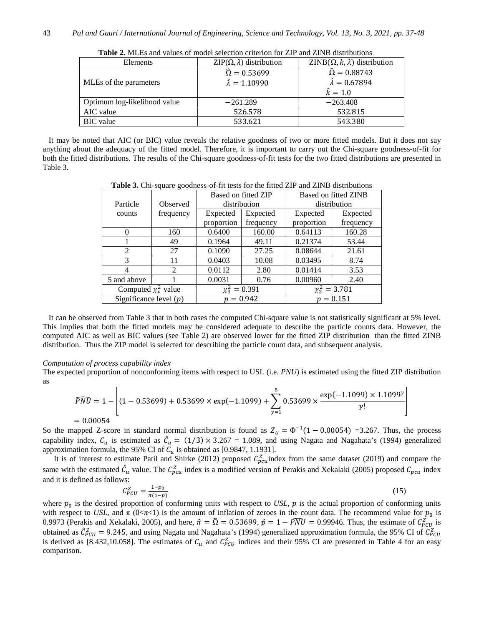| Elements                     | $ZIP(\Omega, \lambda)$ distribution | ZINB( $\Omega$ , k, $\lambda$ ) distribution |
|------------------------------|-------------------------------------|----------------------------------------------|
|                              | $\hat{\Omega} = 0.53699$            | $\hat{\Omega} = 0.88743$                     |
| MLEs of the parameters       | $\hat{\lambda} = 1.10990$           | $\hat{\lambda} = 0.67894$                    |
|                              |                                     | $\hat{k} = 1.0$                              |
| Optimum log-likelihood value | $-261.289$                          | $-263.408$                                   |
| AIC value                    | 526.578                             | 532.815                                      |
| <b>BIC</b> value             | 533.621                             | 543.380                                      |

**Table 2.** MLEs and values of model selection criterion for ZIP and ZINB distributions

 It may be noted that AIC (or BIC) value reveals the relative goodness of two or more fitted models. But it does not say anything about the adequacy of the fitted model. Therefore, it is important to carry out the Chi-square goodness-of-fit for both the fitted distributions. The results of the Chi-square goodness-of-fit tests for the two fitted distributions are presented in Table 3.

**Table 3.** Chi-square goodness-of-fit tests for the fitted ZIP and ZINB distributions

|                               |                |                      | Based on fitted ZIP | Based on fitted ZINB |           |  |
|-------------------------------|----------------|----------------------|---------------------|----------------------|-----------|--|
| Particle                      | Observed       | distribution         |                     | distribution         |           |  |
| counts                        | frequency      | Expected             | Expected            | Expected             | Expected  |  |
|                               |                | proportion           | frequency           | proportion           | frequency |  |
| $\Omega$                      | 160            | 0.6400               | 160.00              | 0.64113              | 160.28    |  |
|                               | 49             | 0.1964               | 49.11               | 0.21374              | 53.44     |  |
| $\overline{2}$                | 27             | 0.1090               | 27.25               | 0.08644              | 21.61     |  |
| 3                             | 11             | 0.0403               | 10.08               | 0.03495              | 8.74      |  |
| 4                             | $\mathfrak{D}$ | 0.0112               | 2.80                | 0.01414              | 3.53      |  |
| 5 and above                   |                | 0.0031               | 0.76                | 0.00960              | 2.40      |  |
| Computed $\chi^2_{\nu}$ value |                | $\chi^2_{3} = 0.391$ |                     | $\chi^2_2 = 3.781$   |           |  |
| Significance level $(p)$      |                | $= 0.942$<br>n       |                     | $p = 0.151$          |           |  |

 It can be observed from Table 3 that in both cases the computed Chi-square value is not statistically significant at 5% level. This implies that both the fitted models may be considered adequate to describe the particle counts data. However, the computed AIC as well as BIC values (see Table 2) are observed lower for the fitted ZIP distribution than the fitted ZINB distribution. Thus the ZIP model is selected for describing the particle count data, and subsequent analysis.

#### *Computation of process capability index*

The expected proportion of nonconforming items with respect to USL (i.e. *PNU*) is estimated using the fitted ZIP distribution as

$$
\widehat{PNU} = 1 - \left[ (1 - 0.53699) + 0.53699 \times \exp(-1.1099) + \sum_{y=1}^{5} 0.53699 \times \frac{\exp(-1.1099) \times 1.1099^y}{y!} \right]
$$
  
= 0.00054

So the mapped Z-score in standard normal distribution is found as  $Z_U = \Phi^{-1}(1 - 0.00054) = 3.267$ . Thus, the process capability index,  $C_u$  is estimated as  $\hat{C}_u = (1/3) \times 3.267 = 1.089$ , and using Nagata and Nagahata's (1994) generalized approximation formula, the 95% CI of  $C_u$  is obtained as [0.9847, 1.1931].

It is of interest to estimate Patil and Shirke (2012) proposed  $C_{pcu}^Z$  index from the same dataset (2019) and compare the same with the estimated  $\hat{C}_u$  value. The  $\hat{C}_{pcu}^Z$  index is a modified version of Perakis and Xekalaki (2005) proposed  $C_{pcu}$  index and it is defined as follows:

$$
C_{PCU}^Z = \frac{1 - p_0}{\pi (1 - p)}\tag{15}
$$

where  $p_0$  is the desired proportion of conforming units with respect to *USL*,  $p$  is the actual proportion of conforming units with respect to *USL*, and  $\pi$  (0< $\pi$ <1) is the amount of inflation of zeroes in the count data. The recommend value for  $p_0$  is 0.9973 (Perakis and Xekalaki, 2005), and here,  $\hat{\pi} = \hat{\Omega} = 0.53699$ ,  $\hat{p} = 1 - \widehat{PNU} = 0.99946$ . Thus, the estimate of  $C_{PCU}^Z$  is obtained as  $C_{PCU}^Z = 9.245$ , and using Nagata and Nagahata's (1994) generalized approximation formula, the 95% CI of  $C_{PCU}^Z$ is derived as [8.432,10.058]. The estimates of  $C_u$  and  $C_{PCU}^Z$  indices and their 95% CI are presented in Table 4 for an easy comparison.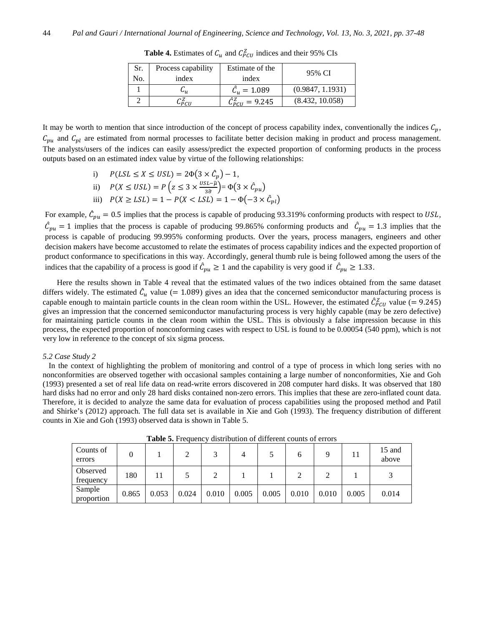| Sr.<br>No. | Process capability<br>index | Estimate of the<br>index | 95% CI           |
|------------|-----------------------------|--------------------------|------------------|
|            | رر ب                        | $\hat{C}_u = 1.089$      | (0.9847, 1.1931) |
|            | $\omega_{PCU}^Z$            | $= 9.245$                | (8.432, 10.058)  |

**Table 4.** Estimates of  $C_u$  and  $C_{PCU}^Z$  indices and their 95% CIs

It may be worth to mention that since introduction of the concept of process capability index, conventionally the indices  $C_p$ ,  $C_{pu}$  and  $C_{pl}$  are estimated from normal processes to facilitate better decision making in product and process management. The analysts/users of the indices can easily assess/predict the expected proportion of conforming products in the process outputs based on an estimated index value by virtue of the following relationships:

i) 
$$
P(LSL \le X \le USL) = 2\Phi(3 \times \hat{C}_p) - 1
$$
,

ii) 
$$
P(X \leq USL) = P\left(z \leq 3 \times \frac{USL - \mu}{3\hat{\sigma}}\right) = \Phi\left(3 \times \hat{C}_{pu}\right)
$$

iii) 
$$
P(X \geq LSL) = 1 - P(X < LSL) = 1 - \Phi(-3 \times \hat{C}_{pl})
$$

For example,  $\mathcal{C}_{pu} = 0.5$  implies that the process is capable of producing 93.319% conforming products with respect to USL,  $\hat{C}_{pu} = 1$  implies that the process is capable of producing 99.865% conforming products and  $\hat{C}_{pu} = 1.3$  implies that the process is capable of producing 99.995% conforming products. Over the years, process managers, engineers and other decision makers have become accustomed to relate the estimates of process capability indices and the expected proportion of product conformance to specifications in this way. Accordingly, general thumb rule is being followed among the users of the indices that the capability of a process is good if  $\hat{C}_{pu} \ge 1$  and the capability is very good if  $\hat{C}_{pu} \ge 1.33$ .

Here the results shown in Table 4 reveal that the estimated values of the two indices obtained from the same dataset differs widely. The estimated  $\mathcal{C}_u$  value (= 1.089) gives an idea that the concerned semiconductor manufacturing process is capable enough to maintain particle counts in the clean room within the USL. However, the estimated  $\hat{C}_{PCU}^Z$  value (= 9.245) gives an impression that the concerned semiconductor manufacturing process is very highly capable (may be zero defective) for maintaining particle counts in the clean room within the USL. This is obviously a false impression because in this process, the expected proportion of nonconforming cases with respect to USL is found to be 0.00054 (540 ppm), which is not very low in reference to the concept of six sigma process.

#### *5.2 Case Study 2*

 In the context of highlighting the problem of monitoring and control of a type of process in which long series with no nonconformities are observed together with occasional samples containing a large number of nonconformities, Xie and Goh (1993) presented a set of real life data on read-write errors discovered in 208 computer hard disks. It was observed that 180 hard disks had no error and only 28 hard disks contained non-zero errors. This implies that these are zero-inflated count data. Therefore, it is decided to analyze the same data for evaluation of process capabilities using the proposed method and Patil and Shirke's (2012) approach. The full data set is available in Xie and Goh (1993). The frequency distribution of different counts in Xie and Goh (1993) observed data is shown in Table 5.

| Counts of<br>errors   |       |       | ∠     |       | 4     |       | O     |       |       | $15$ and<br>above |
|-----------------------|-------|-------|-------|-------|-------|-------|-------|-------|-------|-------------------|
| Observed<br>frequency | 180   | 11    |       | ∍     |       |       | ∍     | ◠     |       |                   |
| Sample<br>proportion  | 0.865 | 0.053 | 0.024 | 0.010 | 0.005 | 0.005 | 0.010 | 0.010 | 0.005 | 0.014             |

**Table 5.** Frequency distribution of different counts of errors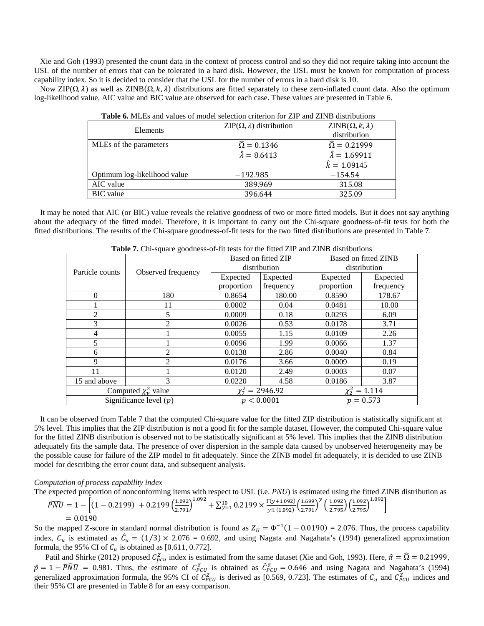Xie and Goh (1993) presented the count data in the context of process control and so they did not require taking into account the USL of the number of errors that can be tolerated in a hard disk. However, the USL must be known for computation of process capability index. So it is decided to consider that the USL for the number of errors in a hard disk is 10.

Now ZIP(Ω, λ) as well as ZINB(Ω, k, λ) distributions are fitted separately to these zero-inflated count data. Also the optimum log-likelihood value, AIC value and BIC value are observed for each case. These values are presented in Table 6.

| Elements                     | ZIP( $\Omega$ , $\lambda$ ) distribution | ZINB $(\Omega, k, \lambda)$ |  |  |
|------------------------------|------------------------------------------|-----------------------------|--|--|
|                              |                                          | distribution                |  |  |
| MLEs of the parameters       | $\hat{\Omega} = 0.1346$                  | $\hat{\Omega} = 0.21999$    |  |  |
|                              | $\lambda = 8.6413$                       | $\hat{\lambda} = 1.69911$   |  |  |
|                              |                                          | $\hat{k} = 1.09145$         |  |  |
| Optimum log-likelihood value | $-192.985$                               | $-154.54$                   |  |  |
| AIC value                    | 389.969                                  | 315.08                      |  |  |
| <b>BIC</b> value             | 396.644                                  | 325.09                      |  |  |

| <b>Table 6.</b> MLEs and values of model selection criterion for ZIP and ZINB distributions |
|---------------------------------------------------------------------------------------------|
|---------------------------------------------------------------------------------------------|

 It may be noted that AIC (or BIC) value reveals the relative goodness of two or more fitted models. But it does not say anything about the adequacy of the fitted model. Therefore, it is important to carry out the Chi-square goodness-of-fit tests for both the fitted distributions. The results of the Chi-square goodness-of-fit tests for the two fitted distributions are presented in Table 7.

|                 | <b>TWORD'</b> is the square goodness of the tests for the fitted EII and EII (D distributions<br>Based on fitted ZIP<br>Based on fitted ZINB |            |                    |              |                  |  |
|-----------------|----------------------------------------------------------------------------------------------------------------------------------------------|------------|--------------------|--------------|------------------|--|
|                 |                                                                                                                                              |            | distribution       | distribution |                  |  |
| Particle counts | Observed frequency                                                                                                                           |            |                    |              |                  |  |
|                 |                                                                                                                                              | Expected   | Expected           | Expected     | Expected         |  |
|                 |                                                                                                                                              | proportion | frequency          | proportion   | frequency        |  |
| $\Omega$        | 180                                                                                                                                          | 0.8654     | 180.00             | 0.8590       | 178.67           |  |
|                 | 11                                                                                                                                           | 0.0002     | 0.04               | 0.0481       | 10.00            |  |
| $\overline{c}$  | 5                                                                                                                                            | 0.0009     | 0.18               | 0.0293       | 6.09             |  |
| 3               | 2                                                                                                                                            | 0.0026     | 0.53               | 0.0178       | 3.71             |  |
| 4               |                                                                                                                                              | 0.0055     | 1.15               | 0.0109       | 2.26             |  |
| 5               |                                                                                                                                              | 0.0096     | 1.99               | 0.0066       | 1.37             |  |
| 6               | $\mathfrak{D}$                                                                                                                               | 0.0138     | 2.86               | 0.0040       | 0.84             |  |
| 9               | 2                                                                                                                                            | 0.0176     | 3.66               | 0.0009       | 0.19             |  |
| 11              |                                                                                                                                              | 0.0120     | 2.49               | 0.0003       | 0.07             |  |
| 15 and above    | 3                                                                                                                                            | 0.0220     | 4.58               | 0.0186       | 3.87             |  |
|                 | Computed $\chi^2_{\nu}$ value                                                                                                                |            | $\chi^2$ = 2946.92 |              | $\chi^2$ = 1.114 |  |
|                 | Significance level $(p)$                                                                                                                     |            | p < 0.0001         |              | $p = 0.573$      |  |

**Table 7.** Chi-square goodness-of-fit tests for the fitted ZIP and ZINB distributions

 It can be observed from Table 7 that the computed Chi-square value for the fitted ZIP distribution is statistically significant at 5% level. This implies that the ZIP distribution is not a good fit for the sample dataset. However, the computed Chi-square value for the fitted ZINB distribution is observed not to be statistically significant at 5% level. This implies that the ZINB distribution adequately fits the sample data. The presence of over dispersion in the sample data caused by unobserved heterogeneity may be the possible cause for failure of the ZIP model to fit adequately. Since the ZINB model fit adequately, it is decided to use ZINB model for describing the error count data, and subsequent analysis.

*Computation of process capability index* 

The expected proportion of nonconforming items with respect to USL (i.e. *PNU*) is estimated using the fitted ZINB distribution as  $\widehat{PNU} = 1 - \left[ (1 - 0.2199) + 0.2199 \left( \frac{1.092}{2.791} \right)^{1.092} + \sum_{y=1}^{10} 0.2199 \times \frac{\Gamma(y+1.092)}{y! \Gamma(1.092)} \left( \frac{1.699}{2.791} \right)^y \left( \frac{1.092}{2.795} \right)^{1.092} \right]$  $= 0.0190$ 

So the mapped Z-score in standard normal distribution is found as  $Z_U = \Phi^{-1}(1 - 0.0190) = 2.076$ . Thus, the process capability index,  $C_u$  is estimated as  $\hat{C}_u = (1/3) \times 2.076 = 0.692$ , and using Nagata and Nagahata's (1994) generalized approximation formula, the 95% CI of  $C_u$  is obtained as [0.611, 0.772].

Patil and Shirke (2012) proposed  $C_{pcu}^Z$  index is estimated from the same dataset (Xie and Goh, 1993). Here,  $\hat{\pi} = \hat{\Omega} = 0.21999$ ,  $\hat{p} = 1 - \overline{P} N \overline{U} = 0.981$ . Thus, the estimate of  $C_{PCU}^Z$  is obtained as  $\hat{C}_{PCU}^Z = 0.646$  and using Nagata and Nagahata's (1994) generalized approximation formula, the 95% CI of  $C_{PCU}^Z$  is derived as [0.569, 0.723]. The estimates of  $C_u$  and  $C_{PCU}^Z$  indices and their 95% CI are presented in Table 8 for an easy comparison.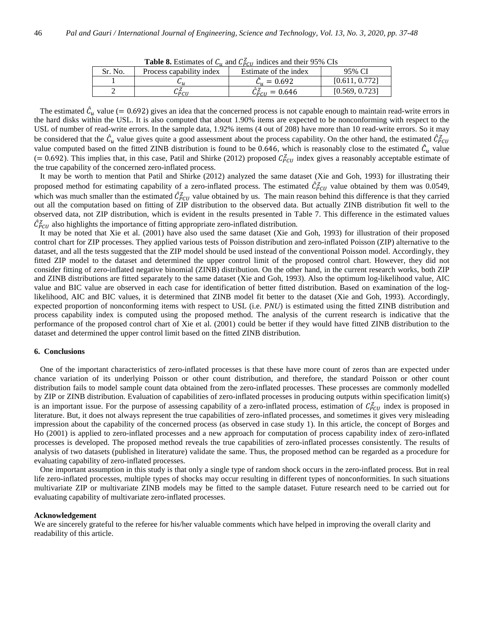| Sr. No. | Process capability index | Estimate of the index                                                    | 95% CI         |
|---------|--------------------------|--------------------------------------------------------------------------|----------------|
|         | u1                       | $C_{u} = 0.692$                                                          | [0.611, 0.772] |
|         | $-PCI$                   | $\mathcal{L}_{\mathit{D}\mathit{C}\mathit{H}}^{\mathit{L}}$<br>$= 0.646$ | [0.569, 0.723] |

**Table 8.** Estimates of  $C_u$  and  $C_{PCU}^Z$  indices and their 95% CIs

The estimated  $\mathcal{C}_u$  value (= 0.692) gives an idea that the concerned process is not capable enough to maintain read-write errors in the hard disks within the USL. It is also computed that about 1.90% items are expected to be nonconforming with respect to the USL of number of read-write errors. In the sample data, 1.92% items (4 out of 208) have more than 10 read-write errors. So it may be considered that the  $\hat{C}_u$  value gives quite a good assessment about the process capability. On the other hand, the estimated  $\hat{C}_{PCU}^Z$ value computed based on the fitted ZINB distribution is found to be 0.646, which is reasonably close to the estimated  $\hat{C}_u$  value  $(= 0.692)$ . This implies that, in this case, Patil and Shirke (2012) proposed  $C_{PCU}^Z$  index gives a reasonably acceptable estimate of the true capability of the concerned zero-inflated process.

 It may be worth to mention that Patil and Shirke (2012) analyzed the same dataset (Xie and Goh, 1993) for illustrating their proposed method for estimating capability of a zero-inflated process. The estimated  $\mathcal{C}_{PCU}^Z$  value obtained by them was 0.0549, which was much smaller than the estimated  $\hat{C}_{PCU}^Z$  value obtained by us. The main reason behind this difference is that they carried out all the computation based on fitting of ZIP distribution to the observed data. But actually ZINB distribution fit well to the observed data, not ZIP distribution, which is evident in the results presented in Table 7. This difference in the estimated values  $\hat{C}_{PCU}^Z$  also highlights the importance of fitting appropriate zero-inflated distribution.

 It may be noted that Xie et al. (2001) have also used the same dataset (Xie and Goh, 1993) for illustration of their proposed control chart for ZIP processes. They applied various tests of Poisson distribution and zero-inflated Poisson (ZIP) alternative to the dataset, and all the tests suggested that the ZIP model should be used instead of the conventional Poisson model. Accordingly, they fitted ZIP model to the dataset and determined the upper control limit of the proposed control chart. However, they did not consider fitting of zero-inflated negative binomial (ZINB) distribution. On the other hand, in the current research works, both ZIP and ZINB distributions are fitted separately to the same dataset (Xie and Goh, 1993). Also the optimum log-likelihood value, AIC value and BIC value are observed in each case for identification of better fitted distribution. Based on examination of the loglikelihood, AIC and BIC values, it is determined that ZINB model fit better to the dataset (Xie and Goh, 1993). Accordingly, expected proportion of nonconforming items with respect to USL (i.e. *PNU*) is estimated using the fitted ZINB distribution and process capability index is computed using the proposed method. The analysis of the current research is indicative that the performance of the proposed control chart of Xie et al. (2001) could be better if they would have fitted ZINB distribution to the dataset and determined the upper control limit based on the fitted ZINB distribution.

## **6. Conclusions**

 One of the important characteristics of zero-inflated processes is that these have more count of zeros than are expected under chance variation of its underlying Poisson or other count distribution, and therefore, the standard Poisson or other count distribution fails to model sample count data obtained from the zero-inflated processes. These processes are commonly modelled by ZIP or ZINB distribution. Evaluation of capabilities of zero-inflated processes in producing outputs within specification limit(s) is an important issue. For the purpose of assessing capability of a zero-inflated process, estimation of  $C_{PCU}^Z$  index is proposed in literature. But, it does not always represent the true capabilities of zero-inflated processes, and sometimes it gives very misleading impression about the capability of the concerned process (as observed in case study 1). In this article, the concept of Borges and Ho (2001) is applied to zero-inflated processes and a new approach for computation of process capability index of zero-inflated processes is developed. The proposed method reveals the true capabilities of zero-inflated processes consistently. The results of analysis of two datasets (published in literature) validate the same. Thus, the proposed method can be regarded as a procedure for evaluating capability of zero-inflated processes.

 One important assumption in this study is that only a single type of random shock occurs in the zero-inflated process. But in real life zero-inflated processes, multiple types of shocks may occur resulting in different types of nonconformities. In such situations multivariate ZIP or multivariate ZINB models may be fitted to the sample dataset. Future research need to be carried out for evaluating capability of multivariate zero-inflated processes.

# **Acknowledgement**

We are sincerely grateful to the referee for his/her valuable comments which have helped in improving the overall clarity and readability of this article.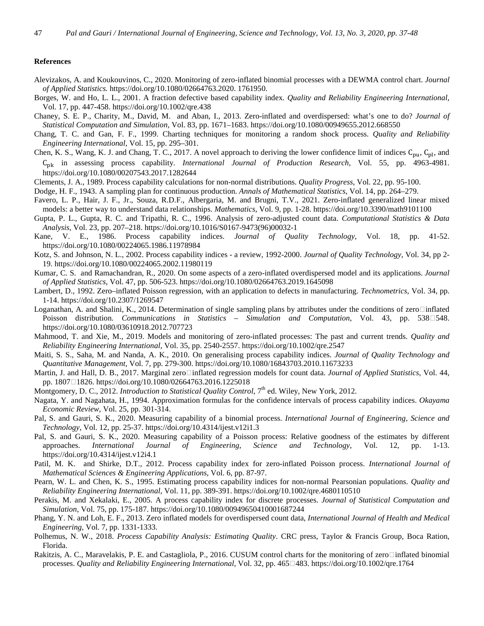#### **References**

- Alevizakos, A. and Koukouvinos, C., 2020. Monitoring of zero-inflated binomial processes with a DEWMA control chart. *Journal of Applied Statistics.* https://doi.org/10.1080/02664763.2020. 1761950.
- Borges, W. and Ho, L. L., 2001. A fraction defective based capability index. *Quality and Reliability Engineering International*, Vol. 17, pp. 447-458. https://doi.org/10.1002/qre.438
- Chaney, S. E. P., Charity, M., David, M. and Aban, I., 2013. Zero-inflated and overdispersed: what's one to do? *Journal of Statistical Computation and Simulation,* Vol. 83, pp. 1671–1683. https://doi.org/10.1080/00949655.2012.668550
- Chang, T. C. and Gan, F. F., 1999. Charting techniques for monitoring a random shock process. *Quality and Reliability Engineering International*, Vol. 15, pp. 295–301.
- Chen, K. S., Wang, K. J. and Chang, T. C., 2017. A novel approach to deriving the lower confidence limit of indices  $C_{\text{pu}}$ ,  $C_{\text{pl}}$ , and C<sub>nk</sub> in assessing process capability. *International Journal of Production Research*, Vol. 55, pp. 4963-4981. https://doi.org/10.1080/00207543.2017.1282644
- Clements, J. A., 1989. Process capability calculations for non-normal distributions. *Quality Progress*, Vol. 22, pp. 95-100.
- Dodge, H. F., 1943. A sampling plan for continuous production. *Annals of Mathematical Statistics*, Vol. 14, pp. 264–279.
- Favero, L. P., Hair, J. F., Jr., Souza, R.D.F., Albergaria, M. and Brugni, T.V., 2021. Zero-inflated generalized linear mixed models: a better way to understand data relationships. *Mathematics*, Vol. 9, pp. 1-28. https://doi.org/10.3390/math9101100
- Gupta, P. L., Gupta, R. C. and Tripathi, R. C., 1996. Analysis of zero-adjusted count data. *Computational Statistics & Data Analysis*, Vol. 23, pp. 207–218. https://doi.org/10.1016/S0167-9473(96)00032-1
- Kane, V. E., 1986. Process capability indices. *Journal of Quality Technology*, Vol. 18, pp. 41-52. https://doi.org/10.1080/00224065.1986.11978984
- Kotz, S. and Johnson, N. L., 2002. Process capability indices a review, 1992-2000. *Journal of Quality Technology*, Vol. 34, pp 2- 19. https://doi.org/10.1080/00224065.2002.11980119
- Kumar, C. S. and Ramachandran, R., 2020. On some aspects of a zero-inflated overdispersed model and its applications. *Journal of Applied Statistics*, Vol. 47, pp. 506-523. https://doi.org/10.1080/02664763.2019.1645098
- Lambert, D., 1992. Zero–inflated Poisson regression, with an application to defects in manufacturing. *Technometrics*, Vol. 34, pp. 1-14. https://doi.org/10.2307/1269547
- Loganathan, A. and Shalini, K., 2014. Determination of single sampling plans by attributes under the conditions of zero  $\Box$ inflated Poisson distribution. *Communications in Statistics – Simulation and Computation*, Vol. 43, pp. 538‐548. https://doi.org/10.1080/03610918.2012.707723
- Mahmood, T. and Xie, M., 2019. Models and monitoring of zero-inflated processes: The past and current trends. *Quality and Reliability Engineering International*, Vol. 35, pp. 2540-2557. https://doi.org/10.1002/qre.2547
- Maiti, S. S., Saha, M. and Nanda, A. K., 2010. On generalising process capability indices. *Journal of Quality Technology and Quantitative Management*, Vol. 7, pp. 279-300. https://doi.org/10.1080/16843703.2010.11673233
- Martin, J. and Hall, D. B., 2017. Marginal zero□inflated regression models for count data. *Journal of Applied Statistics*, Vol. 44, pp. 1807‐1826. https://doi.org/10.1080/02664763.2016.1225018
- Montgomery, D. C., 2012. *Introduction to Statistical Quality Control*, 7<sup>th</sup> ed. Wiley, New York, 2012.
- Nagata, Y. and Nagahata, H., 1994. Approximation formulas for the confidence intervals of process capability indices. *Okayama Economic Review*, Vol. 25, pp. 301-314.
- Pal, S. and Gauri, S. K., 2020. Measuring capability of a binomial process. *International Journal of Engineering, Science and Technology*, Vol. 12, pp. 25-37. https://doi.org/10.4314/ijest.v12i1.3
- Pal, S. and Gauri, S. K., 2020. Measuring capability of a Poisson process: Relative goodness of the estimates by different approaches. *International Journal of Engineering, Science and Technology*, Vol. 12, pp. 1-13. https://doi.org/10.4314/ijest.v12i4.1
- Patil, M. K. and Shirke, D.T., 2012. Process capability index for zero-inflated Poisson process. *International Journal of Mathematical Sciences & Engineering Applications*, Vol. 6, pp. 87-97.
- Pearn, W. L. and Chen, K. S., 1995. Estimating process capability indices for non-normal Pearsonian populations. *Quality and Reliability Engineering International*, Vol. 11, pp. 389-391. https://doi.org/10.1002/qre.4680110510
- Perakis, M. and Xekalaki, E., 2005. A process capability index for discrete processes. *Journal of Statistical Computation and Simulation*, Vol. 75, pp. 175-187. https://doi.org/10.1080/00949650410001687244
- Phang, Y. N. and Loh, E. F., 2013. Zero inflated models for overdispersed count data, *International Journal of Health and Medical Engineering*, Vol. 7, pp. 1331-1333.
- Polhemus, N. W., 2018. *Process Capability Analysis: Estimating Quality*. CRC press, Taylor & Francis Group, Boca Ration, Florida.
- Rakitzis, A. C., Maravelakis, P. E. and Castagliola, P., 2016. CUSUM control charts for the monitoring of zero $\Box$ inflated binomial processes. *Quality and Reliability Engineering International*, Vol. 32, pp. 465□483. https://doi.org/10.1002/qre.1764